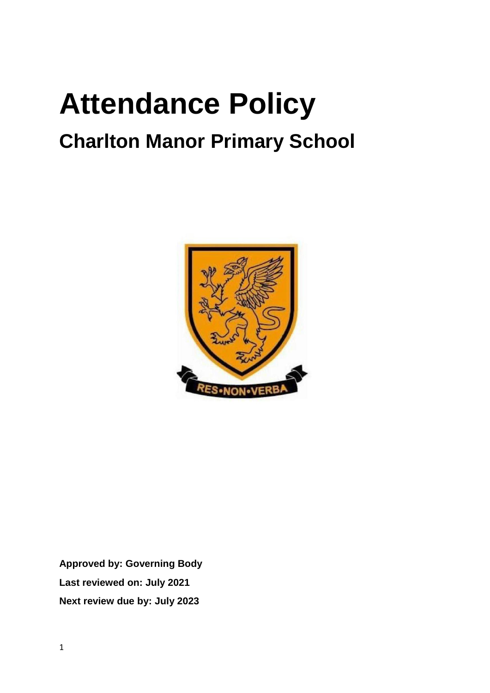# **Attendance Policy Charlton Manor Primary School**



**Approved by: Governing Body Last reviewed on: July 2021 Next review due by: July 2023**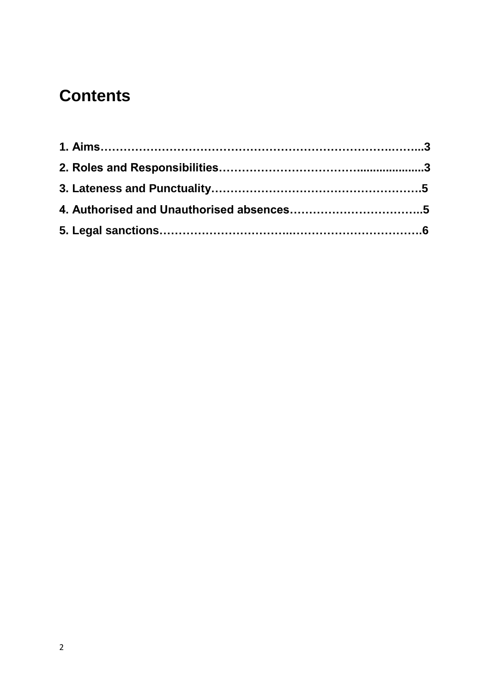# **Contents**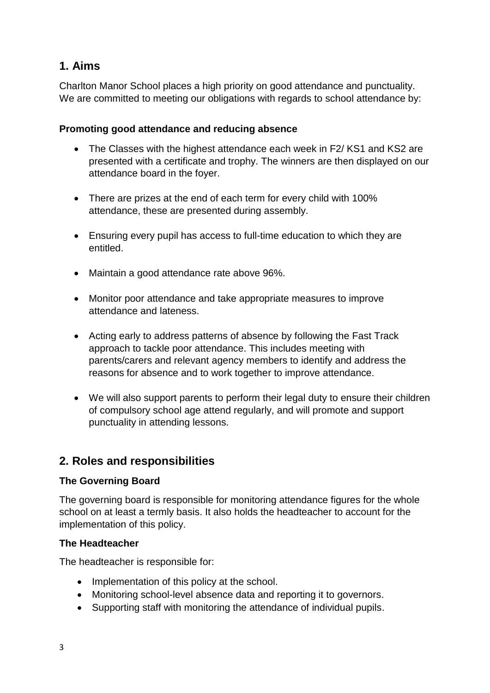# **1. Aims**

Charlton Manor School places a high priority on good attendance and punctuality. We are committed to meeting our obligations with regards to school attendance by:

#### **Promoting good attendance and reducing absence**

- The Classes with the highest attendance each week in F2/ KS1 and KS2 are presented with a certificate and trophy. The winners are then displayed on our attendance board in the foyer.
- There are prizes at the end of each term for every child with 100% attendance, these are presented during assembly.
- Ensuring every pupil has access to full-time education to which they are entitled.
- Maintain a good attendance rate above 96%.
- Monitor poor attendance and take appropriate measures to improve attendance and lateness.
- Acting early to address patterns of absence by following the Fast Track approach to tackle poor attendance. This includes meeting with parents/carers and relevant agency members to identify and address the reasons for absence and to work together to improve attendance.
- We will also support parents to perform their legal duty to ensure their children of compulsory school age attend regularly, and will promote and support punctuality in attending lessons.

### **2. Roles and responsibilities**

#### **The Governing Board**

The governing board is responsible for monitoring attendance figures for the whole school on at least a termly basis. It also holds the headteacher to account for the implementation of this policy.

#### **The Headteacher**

The headteacher is responsible for:

- Implementation of this policy at the school.
- Monitoring school-level absence data and reporting it to governors.
- Supporting staff with monitoring the attendance of individual pupils.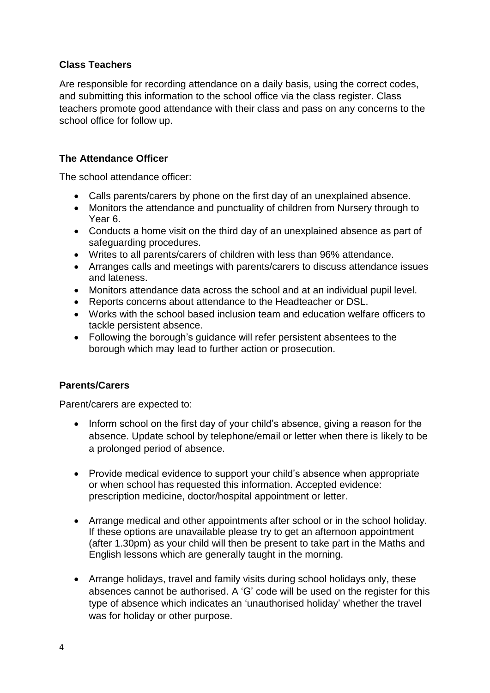#### **Class Teachers**

Are responsible for recording attendance on a daily basis, using the correct codes, and submitting this information to the school office via the class register. Class teachers promote good attendance with their class and pass on any concerns to the school office for follow up.

#### **The Attendance Officer**

The school attendance officer:

- Calls parents/carers by phone on the first day of an unexplained absence.
- Monitors the attendance and punctuality of children from Nursery through to Year 6.
- Conducts a home visit on the third day of an unexplained absence as part of safeguarding procedures.
- Writes to all parents/carers of children with less than 96% attendance.
- Arranges calls and meetings with parents/carers to discuss attendance issues and lateness.
- Monitors attendance data across the school and at an individual pupil level.
- Reports concerns about attendance to the Headteacher or DSL.
- Works with the school based inclusion team and education welfare officers to tackle persistent absence.
- Following the borough's guidance will refer persistent absentees to the borough which may lead to further action or prosecution.

#### **Parents/Carers**

Parent/carers are expected to:

- Inform school on the first day of your child's absence, giving a reason for the absence. Update school by telephone/email or letter when there is likely to be a prolonged period of absence.
- Provide medical evidence to support your child's absence when appropriate or when school has requested this information. Accepted evidence: prescription medicine, doctor/hospital appointment or letter.
- Arrange medical and other appointments after school or in the school holiday. If these options are unavailable please try to get an afternoon appointment (after 1.30pm) as your child will then be present to take part in the Maths and English lessons which are generally taught in the morning.
- Arrange holidays, travel and family visits during school holidays only, these absences cannot be authorised. A 'G' code will be used on the register for this type of absence which indicates an 'unauthorised holiday' whether the travel was for holiday or other purpose.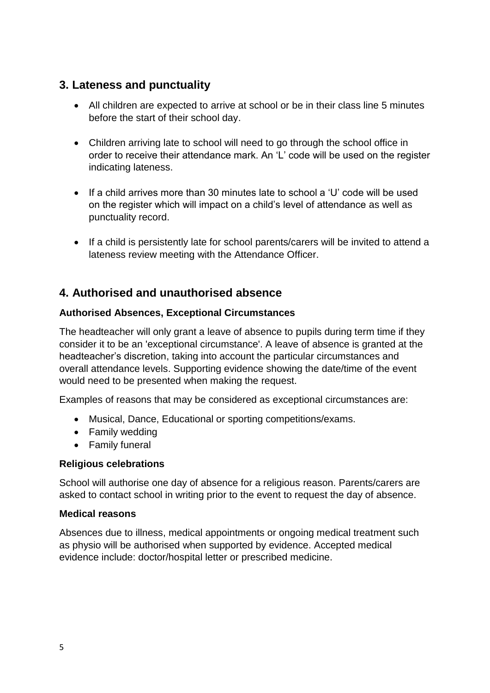# **3. Lateness and punctuality**

- All children are expected to arrive at school or be in their class line 5 minutes before the start of their school day.
- Children arriving late to school will need to go through the school office in order to receive their attendance mark. An 'L' code will be used on the register indicating lateness.
- $\bullet$  If a child arrives more than 30 minutes late to school a 'U' code will be used on the register which will impact on a child's level of attendance as well as punctuality record.
- If a child is persistently late for school parents/carers will be invited to attend a lateness review meeting with the Attendance Officer.

# **4. Authorised and unauthorised absence**

#### **Authorised Absences, Exceptional Circumstances**

The headteacher will only grant a leave of absence to pupils during term time if they consider it to be an 'exceptional circumstance'. A leave of absence is granted at the headteacher's discretion, taking into account the particular circumstances and overall attendance levels. Supporting evidence showing the date/time of the event would need to be presented when making the request.

Examples of reasons that may be considered as exceptional circumstances are:

- Musical, Dance, Educational or sporting competitions/exams.
- Family wedding
- Family funeral

#### **Religious celebrations**

School will authorise one day of absence for a religious reason. Parents/carers are asked to contact school in writing prior to the event to request the day of absence.

#### **Medical reasons**

Absences due to illness, medical appointments or ongoing medical treatment such as physio will be authorised when supported by evidence. Accepted medical evidence include: doctor/hospital letter or prescribed medicine.